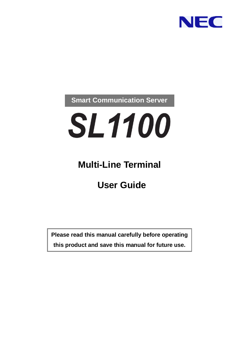

### **Smart Communication Server**

# **SL1100**

### **Multi-Line Terminal**

### **User Guide**

**Please read this manual carefully before operating this product and save this manual for future use.**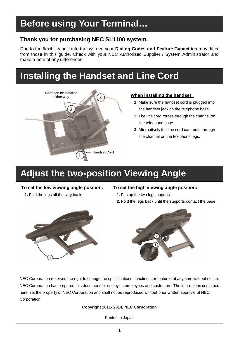### **Before using Your Terminal…**

#### **Thank you for purchasing NEC SL1100 system.**

Due to the flexibility built into the system, your **Dialing Codes and Feature Capacities** may differ from those in this guide. Check with your NEC Authorized Supplier / System Administrator and make a note of any differences.

### **Installing the Handset and Line Cord**



#### **When installing the handset :**

- **1**. Make sure the handset cord is plugged into the handset jack on the telephone base.
- **2.** The line cord routes through the channel on the telephone base.
- **3**. Alternatively the line cord can route through the channel on the telephone legs.

### **Adjust the two-position Viewing Angle**

#### **To set the low viewing angle position:**

**1.** Fold the legs all the way back.

#### **To set the high viewing angle position:**

- **1.** Flip up the two leg supports.
- **2.** Fold the legs back until the supports contact the base.





NEC Corporation reserves the right to change the specifications, functions, or features at any time without notice. NEC Corporation has prepared this document for use by its employees and customers. The information contained herein is the property of NEC Corporation and shall not be reproduced without prior written approval of NEC Corporation.

#### **Copyright 2011- 2014, NEC Corporation**

Printed in Japan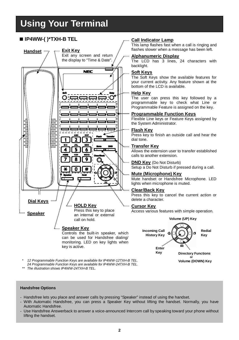### **Using Your Terminal**

#### **IP4WW-( )\*TXH-B TEL Call Indicator Lamp**



*\* 12 Programmable Function Keys are available for IP4WW-12TXH-B TEL. 24 Programmable Function Keys are available for IP4WW-24TXH-B TEL.*

*\*\* The illustration shows IP4WW-24TXH-B TEL.*

This lamp flashes fast when a call is ringing and flashes slower when a message has been left.

#### **Alphanumeric Display**

The LCD has 3 lines, 24 characters with backlight.

#### **Soft Keys**

The Soft Keys show the available features for your current activity. Any feature shown at the bottom of the LCD is available.

#### **Help Key**

The user can press this key followed by a programmable key to check what Line or Programmable Feature is assigned on the key.

#### **Programmable Function Keys**

Flexible Line keys or Feature Keys assigned by the System Administrator.

#### **Flash Key**

Press key to finish an outside call and hear the dial tone.

#### **Transfer Key**

Allows the extension user to transfer established calls to another extension.

#### **DND Key** (Do Not Disturb)

Setup a Do Not Disturb if pressed during a call.

#### **Mute (Microphone) Key**

Mute handset or Handsfree Microphone. LED lights when microphone is muted.

#### **Clear/Back Key**

Press this key to cancel the current action or delete a character.

#### **Cursor Key**

Access various features with simple operation.



#### **Handsfree Options**

- Handsfree lets you place and answer calls by pressing "Speaker" instead of using the handset.
- With Automatic Handsfree, you can press a Speaker Key without lifting the handset. Normally, you have Automatic Handsfree.
- Use Handsfree Answerback to answer a voice-announced Intercom call by speaking toward your phone without lifting the handset.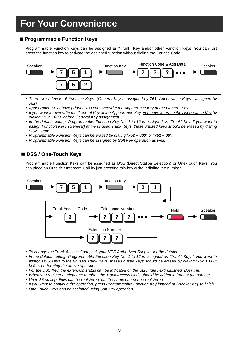### **For Your Convenience**

#### **Programmable Function Keys**

Programmable Function Keys can be assigned as "Trunk" Key and/or other Function Keys. You can just press the function key to activate the assigned function without dialing the Service Code.



- *There are 2 levels of Function Keys. (General Keys : assigned by 751, Appearance Keys : assigned by 752)*
- *Appearance Keys have priority. You can overwrite the Appearance Key at the General Key.*
- *If you want to overwrite the General Key at the Appearance Key, you have to erase the Appearance Key by dialing "752 + 000" before General Key assignment.*
- *In the default setting, Programmable Function Key No. 1 to 12 is assigned as "Trunk" Key. If you want to assign Function Keys (General) at the unused Trunk Keys, these unused keys should be erased by dialing "752 + 000".*
- *Programmable Function Keys can be erased by dialing "752 + 000" or "751 + 00".*
- *Programmable Function Keys can be assigned by Soft Key operation as well.*

#### ■ DSS / One-Touch Keys

Programmable Function Keys can be assigned as DSS (Direct Station Selection) or One-Touch Keys. You can place an Outside / Intercom Call by just pressing this key without dialing the number.



- *To change the Trunk Access Code, ask your NEC Authorized Supplier for the details.*
- *In the default setting, Programmable Function Key No. 1 to 12 is assigned as "Trunk" Key. If you want to assign DSS Keys to the unused Trunk Keys, these unused keys should be erased by dialing "752 + 000" before performing the above operation.*
- *For the DSS Key, the extension status can be indicated on the BLF. (idle : extinguished, Busy : lit)*
- *When you register a telephone number, the Trunk Access Code should be added in front of the number.*
- *Up to 36 dialing digits can be registered, but the name can not be registered.*
- *If you want to continue the operation, press Programmable Function Key instead of Speaker Key to finish.*
- *One-Touch Keys can be assigned using Soft Key operation.*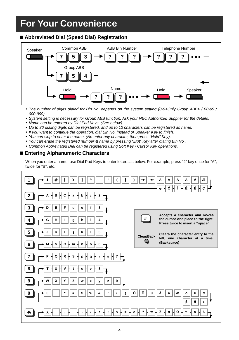### **For Your Convenience**

#### **Abbreviated Dial (Speed Dial) Registration**



- The number of digits dialed for Bin No. depends on the system setting (0-9<Only Group ABB> / 00-99 / *000-999).*
- System setting is necessary for Group ABB function. Ask your NEC Authorized Supplier for the details.
- *Name can be entered by Dial Pad Keys. (See below)*
- *Up to 36 dialing digits can be registered, and up to 12 characters can be registered as name.*
- *If you want to continue the operation, dial Bin No. instead of Speaker Key to finish.*
- *You can skip to enter the name. (No enter any character, then press "Hold" Key).*
- *You can erase the registered number & name by pressing "Exit" Key after dialing Bin No..*
- *Common Abbreviated Dial can be registered using Soft Key / Cursor Key operations.*

#### **Entering Alphanumeric Characters**

When you enter a name, use Dial Pad Keys to enter letters as below. For example, press "2" key once for "A", twice for "B", etc.

|                         | ¥<br>@                                                               |                                | Ã<br>Æ<br>Α<br>Α<br>Ê H<br>Ó<br>É<br>φ<br>Ç                                                             |
|-------------------------|----------------------------------------------------------------------|--------------------------------|---------------------------------------------------------------------------------------------------------|
| $\overline{2}$          | b<br>C<br>2<br>c<br>в<br>$\mathbf a$                                 |                                |                                                                                                         |
| $\overline{\mathbf{3}}$ | F<br>Е<br>3<br>d<br>е                                                |                                |                                                                                                         |
| 4                       | h<br>н<br>G<br>g                                                     | #                              | Accepts a character and moves<br>the cursor one place to the right.<br>Press twice to insert a "space". |
| $\overline{\mathbf{5}}$ | 5<br>Κ<br>ĸ                                                          | Clear/Back                     | Clears the character entry to the<br>left, one character at a time.                                     |
| 6                       | o<br>N<br>Hm<br>6<br>M<br>$\mathsf{n}$<br>$\mathbf{o}$               | $\circ$                        | (Backspace)                                                                                             |
|                         | R<br>s<br>$\mathbf{s}$<br>$\overline{7}$<br>Q<br>r<br>p<br>q         |                                |                                                                                                         |
| 8                       | v<br>t<br>8<br>u<br>v                                                |                                |                                                                                                         |
|                         | z<br>Υ<br>$\mathbf{z}$<br>х<br>W<br>9<br>У<br>x                      |                                |                                                                                                         |
|                         | $\epsilon$<br>$\epsilon$<br>#<br>&<br>\$<br>$\%$                     | Õ<br>Ô<br>ú                    | ä<br>å<br>ö<br>ü<br>æ<br>α<br>ß                                                                         |
| ⋇                       | $\ddot{ }$<br>$\qquad \qquad =$<br>$\,<$<br>$\overline{\phantom{0}}$ | $\boldsymbol{\mathsf{?}}$<br>π | Σ<br>Ω<br>$\infty$<br>σ                                                                                 |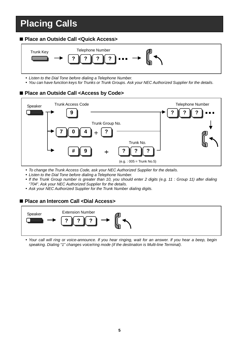### **Placing Calls**

#### **Place an Outside Call <Quick Access>**



- *Listen to the Dial Tone before dialing a Telephone Number.*
- *You can have function keys for Trunks or Trunk Groups. Ask your NEC Authorized Supplier for the details.*

#### **Place an Outside Call <Access by Code>**



- *To change the Trunk Access Code, ask your NEC Authorized Supplier for the details.*
- *Listen to the Dial Tone before dialing a Telephone Number.*
- *If the Trunk Group number is greater than 10, you should enter 2 digits (e.g. 11 : Group 11) after dialing "704". Ask your NEC Authorized Supplier for the details.*
- *Ask your NEC Authorized Supplier for the Trunk Number dialing digits.*

#### **Place an Intercom Call <Dial Access>**



 *Your call will ring or voice-announce. If you hear ringing, wait for an answer. If you hear a beep, begin speaking. Dialing "1" changes voice/ring mode (if the destination is Multi-line Terminal).*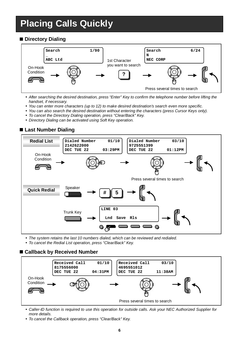### **Placing Calls Quickly**

#### **Directory Dialing**



- *After searching the desired destination, press "Enter" Key to confirm the telephone number before lifting the handset, if necessary.*
- *You can enter more characters (up to 12) to make desired destination's search even more specific.*
- *You can also search the desired destination without entering the characters (press Cursor Keys only).*
- *To cancel the Directory Dialing operation, press "Clear/Back" Key.*
- *Directory Dialing can be activated using Soft Key operation.*



**Last Number Dialing**

*The system retains the last 10 numbers dialed, which can be reviewed and redialed.*

*To cancel the Redial List operation, press "Clear/Back" Key.*

#### **Callback by Received Number**



- *Caller-ID function is required to use this operation for outside calls. Ask your NEC Authorized Supplier for more details.*
- *To cancel the Callback operation, press "Clear/Back" Key.*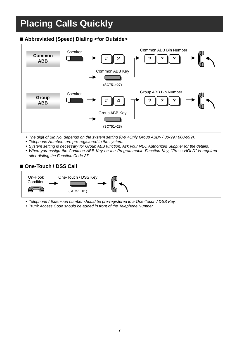### **Placing Calls Quickly**

### **Abbreviated (Speed) Dialing <for Outside>**



- *The digit of Bin No. depends on the system setting (0-9 <Only Group ABB> / 00-99 / 000-999).*
- *Telephone Numbers are pre-registered to the system.*
- System setting is necessary for Group ABB function. Ask your NEC Authorized Supplier for the details.
- *When you assign the Common ABB Key on the Programmable Function Key, "Press HOLD" is required after dialing the Function Code 27.*

#### ■ One-Touch / DSS Call



*Telephone / Extension number should be pre-registered to a One-Touch / DSS Key.*

*Trunk Access Code should be added in front of the Telephone Number.*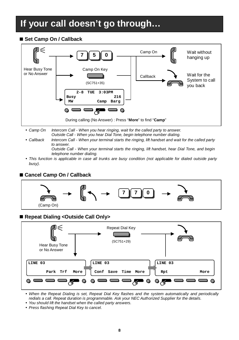### **If your call doesn't go through…**

#### ■ Set Camp On / Callback



- *Camp On Intercom Call - When you hear ringing, wait for the called party to answer. Outside Call - When you hear Dial Tone, begin telephone number dialing.*
- *Callback Intercom Call - When your terminal starts the ringing, lift handset and wait for the called party to answer. Outside Call - When your terminal starts the ringing, lift handset, hear Dial Tone, and begin*

*telephone number dialing.*

 *This function is applicable in case all trunks are busy condition (not applicable for dialed outside party busy).*

#### **Cancel Camp On / Callback**



#### ■ Repeat Dialing <Outside Call Only>



 *When the Repeat Dialing is set, Repeat Dial Key flashes and the system automatically and periodically redials a call. Repeat duration is programmable. Ask your NEC Authorized Supplier for the details.*

- *You should lift the handset when the called party answers.*
- *Press flashing Repeat Dial Key to cancel.*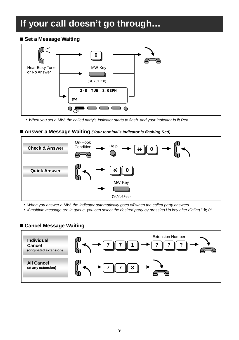### **If your call doesn't go through…**

#### ■ Set a Message Waiting



*When you set a MW, the called party's Indicator starts to flash, and your Indicator is lit Red.*

#### ■ Answer a Message Waiting *(Your terminal's Indicator is flashing Red)*



*When you answer a MW, the Indicator automatically goes off when the called party answers.*

• If multiple message are in queue, you can select the desired party by pressing Up key after dialing "  $\star$ , 0".

#### **Cancel Message Waiting**

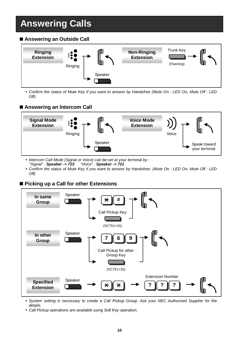### **Answering Calls**

#### ■ Answering an Outside Call



 *Confirm the status of Mute Key if you want to answer by Handsfree (Mute On : LED On, Mute Off : LED Off).*

#### **Answering an Intercom Call**



- *Intercom Call Mode (Signal or Voice) can be set at your terminal by : "Signal" : Speaker -> 723 "Voice" : Speaker -> 721*
- *Confirm the status of Mute Key if you want to answer by Handsfree. (Mute On : LED On, Mute Off : LED Off)*

#### **Picking up a Call for other Extensions**



 *System setting is necessary to create a Call Pickup Group. Ask your NEC Authorized Supplier for the details.*

*Call Pickup operations are available using Soft Key operation.*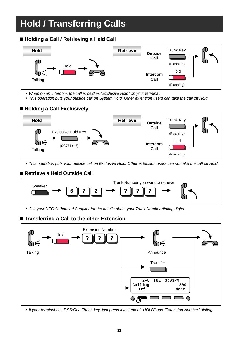### **Hold / Transferring Calls**

#### ■ Holding a Call / Retrieving a Held Call



*When on an Intercom, the call is held as "Exclusive Hold" on your terminal.*

*This operation puts your outside call on System Hold. Other extension users can take the call off Hold.*

#### ■ Holding a Call Exclusively



*This operation puts your outside call on Exclusive Hold. Other extension users can not take the call off Hold.*

#### **Retrieve a Held Outside Call**



*Ask your NEC Authorized Supplier for the details about your Trunk Number dialing digits.*

#### ■ Transferring a Call to the other Extension



*If your terminal has DSS/One-Touch key, just press it instead of "HOLD" and "Extension Number" dialing.*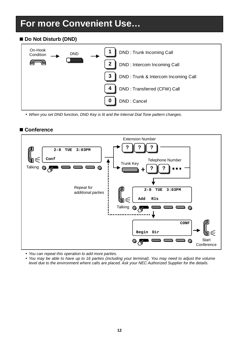### **For more Convenient Use…**

#### ■ Do Not Disturb (DND)



*When you set DND function, DND Key is lit and the Internal Dial Tone pattern changes.*



#### **Conference**

*You can repeat this operation to add more parties.*

 *You may be able to have up to 16 parties (including your terminal). You may need to adjust the volume level due to the environment where calls are placed. Ask your NEC Authorized Supplier for the details.*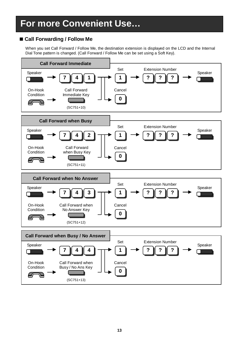### **For more Convenient Use…**

#### **Call Forwarding / Follow Me**

When you set Call Forward / Follow Me, the destination extension is displayed on the LCD and the Internal Dial Tone pattern is changed. (Call Forward / Follow Me can be set using a Soft Key).

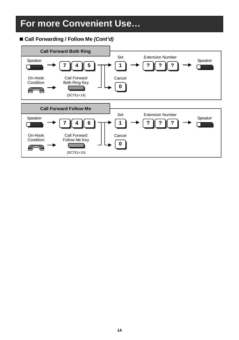### **For more Convenient Use…**

#### ■ Call Forwarding / Follow Me *(Cont'd)*

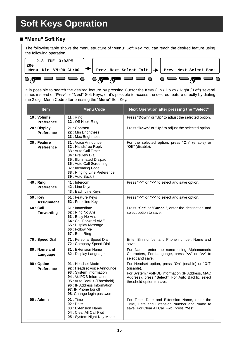#### **"Menu" Soft Key**

The following table shows the menu structure of "**Menu**" Soft Key. You can reach the desired feature using the following operation.



It is possible to search the desired feature by pressing Cursor the Keys (Up / Down / Right / Left) several times instead of "**Prev**" or "**Next**" Soft Keys, or it's possible to access the desired feature directly by dialing the 2 digit Menu Code after pressing the "**Menu**" Soft Key.

| <b>Item</b>                | <b>Menu Code</b>                                                                                                                                                                                                            | Next Operation after pressing the "Select"                                                                                                                                                            |
|----------------------------|-----------------------------------------------------------------------------------------------------------------------------------------------------------------------------------------------------------------------------|-------------------------------------------------------------------------------------------------------------------------------------------------------------------------------------------------------|
| 10 : Volume<br>Preference  | $11:$ Ring<br>12: Off-Hook Ring                                                                                                                                                                                             | Press "Down" or "Up" to adjust the selected option.                                                                                                                                                   |
| 20 : Display<br>Preference | 21: Contrast<br>22 : Min Brightness<br>23 : Max Brightness                                                                                                                                                                  | Press "Down" or "Up" to adjust the selected option.                                                                                                                                                   |
| 30 : Feature<br>Preference | 31 : Voice Announce<br>32 : Handsfree Reply<br>33 : Auto Call Timer<br>34 : Preview Dial<br>35 : Illuminated Dialpad<br>36 : Auto Call Screening<br>37: Incoming Page<br>38 : Ringing Line Preference<br>39 : Auto Backlit  | For the selected option, press "On" (enable) or<br>"Off" (disable).                                                                                                                                   |
| $40:$ Ring<br>Preference   | 41 : Intercom<br>42 : Line Keys<br>43 : Each Line Keys                                                                                                                                                                      | Press "<<" or ">>" to select and save option.                                                                                                                                                         |
| 50 : Key<br>Assignment     | 51 : Feature Keys<br>52 : Primeline Key                                                                                                                                                                                     | Press "<<" or ">>" to select and save option.                                                                                                                                                         |
| 60 : Call<br>Forwarding    | 61 : Immediate<br>62 : Ring No Ans<br>63: Busy No Ans<br>64 : Call Forward AME<br>65 : Display Message<br>66 : Follow Me<br>67: Both Ring                                                                                   | Press "Set" or "Cancel", enter the destination and<br>select option to save.                                                                                                                          |
| 70 : Speed Dial            | 71 : Personal Speed Dial<br>72 : Company Speed Dial                                                                                                                                                                         | Enter Bin number and Phone number, Name and<br>save.                                                                                                                                                  |
| 80: Name and<br>Language   | 81 : Extension Name<br>82 : Display Language                                                                                                                                                                                | For Name, enter the name using Alphanumeric<br>Characters, For Language, press "<<" or ">>" to<br>select and save.                                                                                    |
| 90 : Option<br>Preference  | 91 : Headset Mode<br>92 : Headset Voice Announce<br>93 : System Information<br>94 : VoIPDB Information<br>95 : Auto Backlit (Threshold)<br>96 : IP Address Information<br>97: IP Phone log off<br>98: Change login password | For Headset option, press "On" (enable) or "Off"<br>(disable).<br>For System / VoIPDB information (IP Address, MAC<br>Address), press "Select". For Auto Backlit, select<br>threshold option to save. |
| $00:$ Admin                | 01: Time<br>$02:$ Date<br>03 : Extension Name<br>04 : Clear All Call Fwd<br>05 : System Night Key Mode                                                                                                                      | For Time, Date and Extension Name, enter the<br>Time, Date and Extension Number and Name to<br>save. For Clear All Call Fwd, press "Yes".                                                             |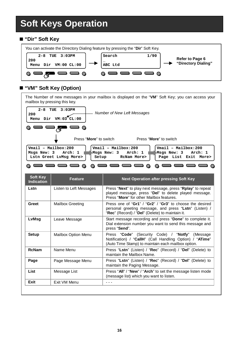#### **"Dir" Soft Key**



#### **"VM" Soft Key (Option)**

The Number of new messages in your mailbox is displayed on the "**VM**" Soft Key; you can access your mailbox by pressing this key.



| Soft Key<br><b>Indication</b> | <b>Feature</b>          | <b>Next Operation after pressing Soft Key</b>                                                                                                                         |  |
|-------------------------------|-------------------------|-----------------------------------------------------------------------------------------------------------------------------------------------------------------------|--|
| Lstn                          | Listen to Left Messages | Press "Next" to play next message, press "Rplay" to repeat<br>played message, press "Del" to delete played message.<br>Press "More" for other Mailbox features.       |  |
| Greet                         | <b>Mailbox Greeting</b> | Press one of "Gr1" / "Gr2" / "Gr3" to choose the desired<br>personal greeting message, and press "Lstn" (Listen) /<br>"Rec" (Record) / "Del" (Delete) to maintain it. |  |
| LvMsg                         | Leave Message           | Start message recording and press "Done" to complete it.<br>Dial extension number you want to send this message and<br>press "Send".                                  |  |
| Setup                         | Mailbox Option Menu     | Press "Code" (Security Code) / "Notfy" (Message<br>Notification) / "CallH" (Call Handling Option) / "ATime"<br>(Auto Time Stamp) to maintain each mailbox option.     |  |
| <b>RcNam</b>                  | Name Menu               | Press "Lstn" (Listen) / "Rec" (Record) / "Del" (Delete) to<br>maintain the Mailbox Name.                                                                              |  |
| Page                          | Page Message Menu       | Press "Lstn" (Listen) / "Rec" (Record) / "Del" (Delete) to<br>maintain the Paging Message.                                                                            |  |
| List                          | Message List            | Press "All" / "New" / "Arch" to set the message listen mode<br>(message list) which you want to listen.                                                               |  |
| Exit                          | Exit VM Menu            |                                                                                                                                                                       |  |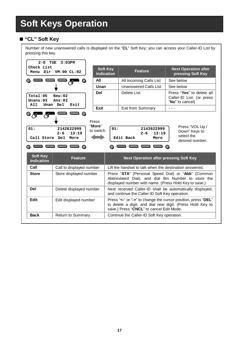#### **"CL" Soft Key**

Number of new unanswered calls is displayed on the "**CL**" Soft Key; you can access your Caller-ID List by pressing this key.

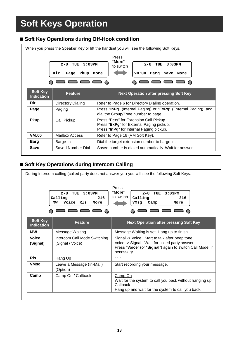#### ■ Soft Key Operations during Off-Hook condition

|                                      | $2 - 8$<br>TUE<br>3:03PM<br>Dir<br>Page Pkup More        | Press<br>"More"<br>$2 - 8$<br>TUE<br>$3:0.3$ PM<br>to switch<br>VM:00 Barg Save More                                            |  |  |
|--------------------------------------|----------------------------------------------------------|---------------------------------------------------------------------------------------------------------------------------------|--|--|
| <b>Soft Key</b><br><b>Indication</b> | <b>Next Operation after pressing Soft Key</b><br>Feature |                                                                                                                                 |  |  |
| Dir                                  | <b>Directory Dialing</b>                                 | Refer to Page 6 for Directory Dialing operation.                                                                                |  |  |
| Page                                 | Paging                                                   | Press "InPg" (Internal Paging) or "ExPg" (External Paging), and<br>dial the Group/Zone number to page.                          |  |  |
| <b>Pkup</b>                          | Call Pickup                                              | Press "Pers" for Extension Call Pickup.<br>Press "ExPg" for External Paging pickup.<br>Press "InPg" for Internal Paging pickup. |  |  |
| VM:00                                | Mailbox Access                                           | Refer to Page 16 (VM Soft Key).                                                                                                 |  |  |
| Barg                                 | Barge-In                                                 | Dial the target extension number to barge in.                                                                                   |  |  |
|                                      |                                                          | Saved number is dialed automatically. Wait for answer.                                                                          |  |  |

#### ■ Soft Key Operations during Intercom Calling

| During Intercom calling (called party does not answer yet) you will see the following Soft Keys.                                                                            |                                                  |                                                                                                                                                                               |  |
|-----------------------------------------------------------------------------------------------------------------------------------------------------------------------------|--------------------------------------------------|-------------------------------------------------------------------------------------------------------------------------------------------------------------------------------|--|
| Press<br>"More"<br>$2 - 8$<br>TUE<br>3:03PM<br>$2 - 8$<br>3:03PM<br>TUE<br>to switch<br>Calling<br>Calling<br>216<br>216<br>Voice Rls<br>MW<br>More<br>VMsg<br>Camp<br>More |                                                  |                                                                                                                                                                               |  |
| Soft Key<br><b>Indication</b>                                                                                                                                               | <b>Feature</b>                                   | Next Operation after pressing Soft Key                                                                                                                                        |  |
| мw                                                                                                                                                                          | Message Waiting                                  | Message Waiting is set. Hang up to finish.                                                                                                                                    |  |
| Voice<br>(Signal)                                                                                                                                                           | Intercom Call Mode Switching<br>(Signal / Voice) | Signal -> Voice : Start to talk after beep tone.<br>Voice -> Signal: Wait for called party answer.<br>Press "Voice" (or "Signal") again to switch Call Mode, if<br>necessary. |  |
| <b>RIs</b>                                                                                                                                                                  | Hang Up                                          | - - -                                                                                                                                                                         |  |
| VMsg                                                                                                                                                                        | Leave a Message (In-Mail)<br>(Option)            | Start recording your message.                                                                                                                                                 |  |
| Camp                                                                                                                                                                        | Camp On / Callback                               | Camp On<br>Wait for the system to call you back without hanging up.<br>Callback<br>Hang up and wait for the system to call you back.                                          |  |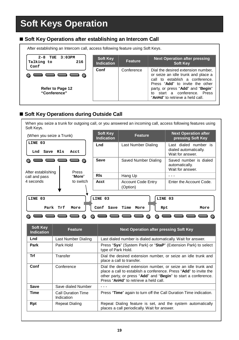#### ■ Soft Key Operations after establishing an Intercom Call



#### ■ Soft Key Operations during Outside Call

When you seize a trunk for outgoing call, or you answered an incoming call, access following features using Soft Keys.

| (When you seize a Trunk)                      |              | Soft Key<br><b>Indication</b> | Feature                               | <b>Next Operation after</b><br>pressing Soft Key                   |
|-----------------------------------------------|--------------|-------------------------------|---------------------------------------|--------------------------------------------------------------------|
| LINE 03<br>Save Rls<br>Lnd                    | Acct         | Lnd                           | Last Number Dialing                   | Last dialed number is<br>dialed automatically.<br>Wait for answer. |
| After establishing                            | <b>Press</b> | Save                          | Saved Number Dialing                  | Saved number is dialed<br>automatically.<br>Wait for answer.       |
| call and pass                                 | "More"       | <b>RIs</b>                    | Hang Up                               |                                                                    |
| 4 seconds                                     | to switch    | Acct                          | <b>Account Code Entry</b><br>(Option) | Enter the Account Code.                                            |
|                                               |              |                               |                                       |                                                                    |
| LINE 03                                       |              | LINE 03                       |                                       | LINE 03                                                            |
| Park<br>Conf Save Time<br>Trf<br>More<br>More |              |                               | Rpt                                   | More                                                               |
|                                               |              |                               |                                       |                                                                    |

| <b>Soft Key</b><br><b>Indication</b> | Feature                                 | <b>Next Operation after pressing Soft Key</b>                                                                                                                                                                                                 |
|--------------------------------------|-----------------------------------------|-----------------------------------------------------------------------------------------------------------------------------------------------------------------------------------------------------------------------------------------------|
| Lnd                                  | Last Number Dialing                     | Last dialed number is dialed automatically. Wait for answer.                                                                                                                                                                                  |
| Park                                 | Park Hold                               | Press "Sys" (System Park) or "StaP" (Extension Park) to select<br>type of Park Hold.                                                                                                                                                          |
| Trf                                  | Transfer                                | Dial the desired extension number, or seize an idle trunk and<br>place a call to transfer.                                                                                                                                                    |
| Conf                                 | Conference                              | Dial the desired extension number, or seize an idle trunk and<br>place a call to establish a conference. Press "Add" to invite the<br>other party, or press "Add" and "Begin" to start a conference.<br>Press "AnHd" to retrieve a held call. |
| Save                                 | Save dialed Number                      |                                                                                                                                                                                                                                               |
| Time                                 | <b>Call Duration Time</b><br>Indication | Press "Time" again to turn off the Call Duration Time indication.                                                                                                                                                                             |
| Rpt                                  | <b>Repeat Dialing</b>                   | Repeat Dialing feature is set, and the system automatically<br>places a call periodically. Wait for answer.                                                                                                                                   |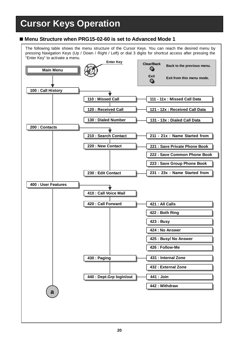### **Cursor Keys Operation**

#### **Menu Structure when PRG15-02-60 is set to Advanced Mode 1**

The following table shows the menu structure of the Cursor Keys. You can reach the desired menu by pressing Navigation Keys (Up / Down / Right / Left) or dial 3 digits for shortcut access after pressing the "Enter Key" to activate a menu.

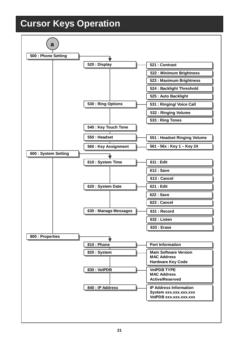### **Cursor Keys Operation**

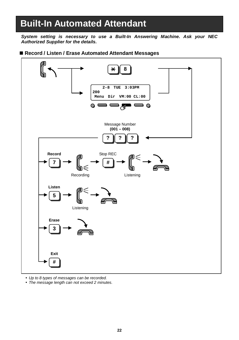### **Built-In Automated Attendant**

*System setting is necessary to use a Built-In Answering Machine. Ask your NEC Authorized Supplier for the details.*

#### ■ Record / Listen / Erase Automated Attendant Messages



- *Up to 8 types of messages can be recorded.*
- *The message length can not exceed 2 minutes.*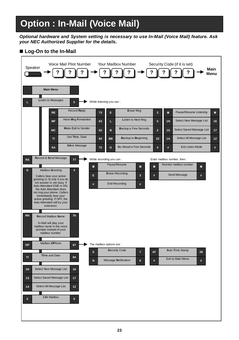*Optional hardware and System setting is necessary to use In-Mail (Voice Mail) feature. Ask your NEC Authorized Supplier for the details.*

#### ■ Log-On to the In-Mail

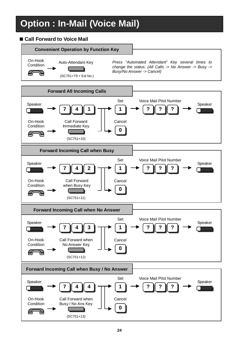#### **Call Forward to Voice Mail**

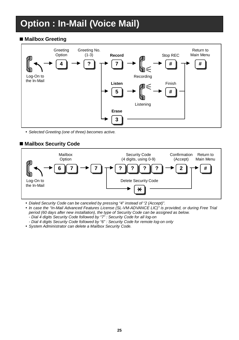#### **Mailbox Greeting**



*Selected Greeting (one of three) becomes active.*

#### **Mailbox Security Code**



- *Dialed Security Code can be canceled by pressing "4" instead of "2 (Accept)".*
- *In case the "In-Mail Advanced Features License (SL-VM-ADVANCE LIC)" is provided, or during Free Trial period (60 days after new installation), the type of Security Code can be assigned as below. - Dial 4 digits Security Code followed by "7" : Security Code for all log-on*
	- *- Dial 4 digits Security Code followed by "6" : Security Code for remote log-on only*
- *System Administrator can delete a Mailbox Security Code.*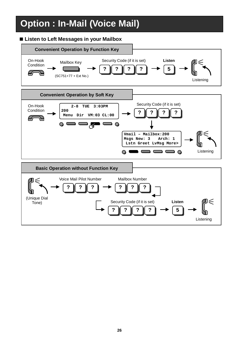#### **Listen to Left Messages in your Mailbox**

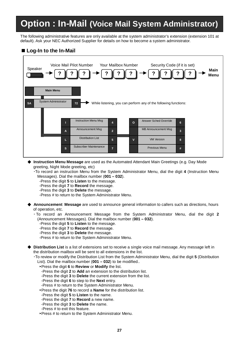### **Option : In-Mail (Voice Mail System Administrator)**

The following administrative features are only available at the system administrator's extension (extension 101 at default). Ask your NEC Authorized Supplier for details on how to become a system administrator.

#### **Log-In to the In-Mail**



- ◆ Instruction Menu Message are used as the Automated Attendant Main Greetings (e.g. Day Mode greeting, Night Mode greeting, etc)
	- ▪To record an instruction Menu from the System Administrator Menu, dial the digit **4** (Instruction Menu Messages). Dial the mailbox number (**001 – 032**).
		- -Press the digit **5** to **Listen** to the message.
		- -Press the digit **7** to **Record** the message.
		- -Press the digit **3** to **Delete** the message.
		- -Press # to return to the System Administrator Menu.
- ◆ **Announcement Message** are used to announce general information to callers such as directions, hours of operation, etc.

▪ To record an Announcement Message from the System Administrator Menu, dial the digit **2** (Announcement Messages). Dial the mailbox number (**001 – 032**).

- -Press the digit **5** to **Listen** to the message.
- -Press the digit **7** to **Record** the message.
- -Press the digit **3** to **Delete** the message.
- -Press # to return to the System Administrator Menu.

◆ **Distribution List** is a list of extensions set to receive a single voice mail message. Any message left in the distribution mailbox will be sent to all extensions in the list.

▪To review or modify the Distribution List from the System Administrator Menu, dial the digit **5** (Distribution List). Dial the mailbox number (**001 – 032**) to be modified..

- ►Press the digit **6** to **Review** or **Modify** the list.
- -Press the digit **2** to **Add** an extension to the distribution list.
- -Press the digit **3** to **Delete** the current extension from the list.
- -Press the digit **6** to step to the **Next** entry.
- -Press # to return to the System Administrator Menu.
- ►Press the digit **76** to record a **Name** for the distribution list.
- -Press the digit **5** to **Listen** to the name.
- -Press the digit **7** to **Record** a new name.
- -Press the digit **3** to **Delete** the name.
- -Press # to exit this feature.
- ►Press # to return to the System Administrator Menu.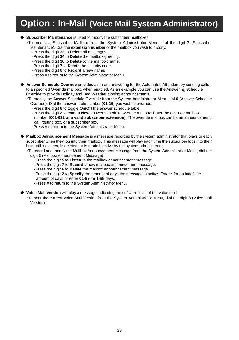### **Option : In-Mail (Voice Mail System Administrator)**

#### ◆ **Subscriber Maintenance** is used to modify the subscriber mailboxes.

▪To modify a Subscriber Mailbox from the System Administrator Menu, dial the digit **7** (Subscriber Maintenance). Dial the **extension number** of the mailbox you wish to modify.

- -Press the digit **32** to **Delete** all messages.
- -Press the digit **34** to **Delete** the mailbox greeting.
- -Press the digit **36** to **Delete** to the mailbox name.
- -Press the digit **7** to **Delete** the security code.
- -Press the digit **6** to **Record** a new name.
- -Press # to return to the System Administrator Menu.

Answer Schedule Override provides alternate answering for the Automated Attendant by sending calls to a specified Override mailbox, when enabled. As an example you can use the Answering Schedule Override to provide Holiday and Bad Weather closing announcements.

▪To modify the Answer Schedule Override from the System Administrator Menu dial **6** (Answer Schedule Override). Dial the answer table number (**01-16**) you wish to override.

-Press the digit **6** to toggle **On/Off** the answer schedule table.

-Press the digit **2** to enter a **New** answer schedule override mailbox. Enter the override mailbox number (**001-032 or a valid subscriber extension**). The override mailbox can be an announcement, call routing box, or a subscriber box.

-Press # to return to the System Administrator Menu.

◆ **Mailbox Announcement Message** is a message recorded by the system administrator that plays to each subscriber when they log into their mailbox. This message will play each time the subscriber logs into their box until it expires, is deleted, or is made inactive by the system administrator.

▪To record and modify the Mailbox Announcement Message from the System Administrator Menu, dial the digit **3** (Mailbox Announcement Message).

- -Press the digit **5** to **Listen** to the mailbox announcement message.
- -Press the digit **7** to **Record** a new mailbox announcement message.
- -Press the digit **6** to **Delete** the mailbox announcement message.

-Press the digit **2** to **Specify** the amount of days the message is active. Enter \* for an indefinite amount of days or enter **01-99** for 1-99 days.

-Press # to return to the System Administrator Menu.

◆ **Voice Mail Version** will play a message indicating the software level of the voice mail.

▪To hear the current Voice Mail Version from the System Administrator Menu, dial the digit **8** (Voice mail Version).